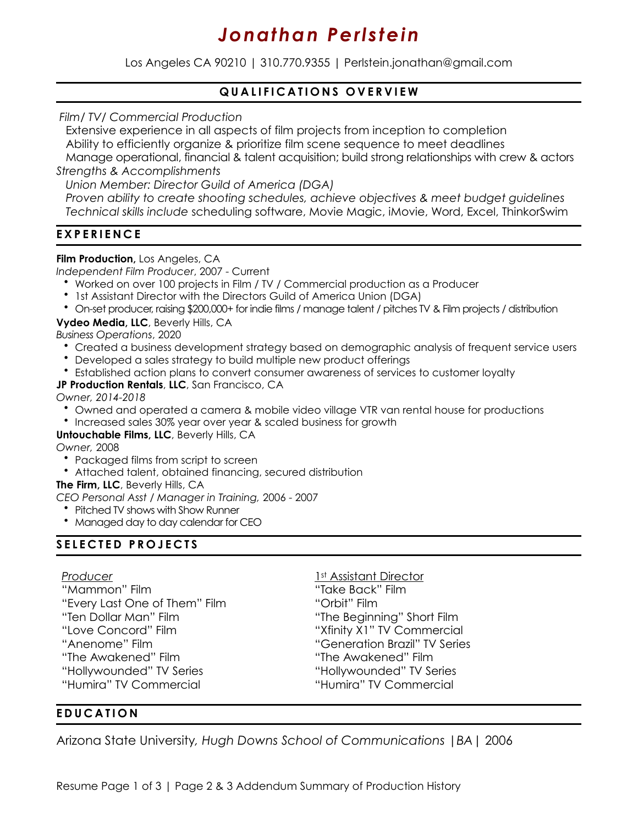# *Jonathan Perlstein*

Los Angeles CA 90210 | 310.770.9355 | Perlstein.jonathan@gmail.com

# **QUALIFICATIONS OVERVIEW**

*Film/ TV/ Commercial Production* 

 Extensive experience in all aspects of film projects from inception to completion Ability to efficiently organize & prioritize film scene sequence to meet deadlines Manage operational, financial & talent acquisition; build strong relationships with crew & actors *Strengths & Accomplishments* 

 *Union Member: Director Guild of America (DGA)* 

 *Proven ability to create shooting schedules, achieve objectives & meet budget guidelines Technical skills include* scheduling software, Movie Magic, iMovie, Word, Excel, ThinkorSwim

# **EXPERIENCE**

## **Film Production,** Los Angeles, CA

*Independent Film Producer*, 2007 - Current

- Worked on over 100 projects in Film / TV / Commercial production as a Producer
- 1st Assistant Director with the Directors Guild of America Union (DGA)
- On-set producer, raising \$200,000+ for indie films / manage talent / pitches TV & Film projects / distribution

## **Vydeo Media, LLC**, Beverly Hills, CA

*Business Operations*, 2020

- Created a business development strategy based on demographic analysis of frequent service users
- Developed a sales strategy to build multiple new product offerings
- Established action plans to convert consumer awareness of services to customer loyalty

## **JP Production Rentals**, **LLC**, San Francisco, CA

*Owner, 2014-2018*

- Owned and operated a camera & mobile video village VTR van rental house for productions
- Increased sales 30% year over year & scaled business for growth

#### **Untouchable Films, LLC**, Beverly Hills, CA

*Owner,* 2008

- Packaged films from script to screen
- Attached talent, obtained financing, secured distribution

**The Firm, LLC**, Beverly Hills, CA

*CEO Personal Asst / Manager in Training,* 2006 - 2007

- Pitched TV shows with Show Runner
- Managed day to day calendar for CEO

# **SELECTED PROJECTS**

#### *Producer*

"Mammon" Film "Every Last One of Them" Film "Ten Dollar Man" Film "Love Concord" Film "Anenome" Film "The Awakened" Film "Hollywounded" TV Series "Humira" TV Commercial

1st Assistant Director "Take Back" Film "Orbit" Film "The Beginning" Short Film "Xfinity X1" TV Commercial "Generation Brazil" TV Series "The Awakened" Film "Hollywounded" TV Series "Humira" TV Commercial

# **EDUCATION**

Arizona State University*, Hugh Downs School of Communications |BA*| 2006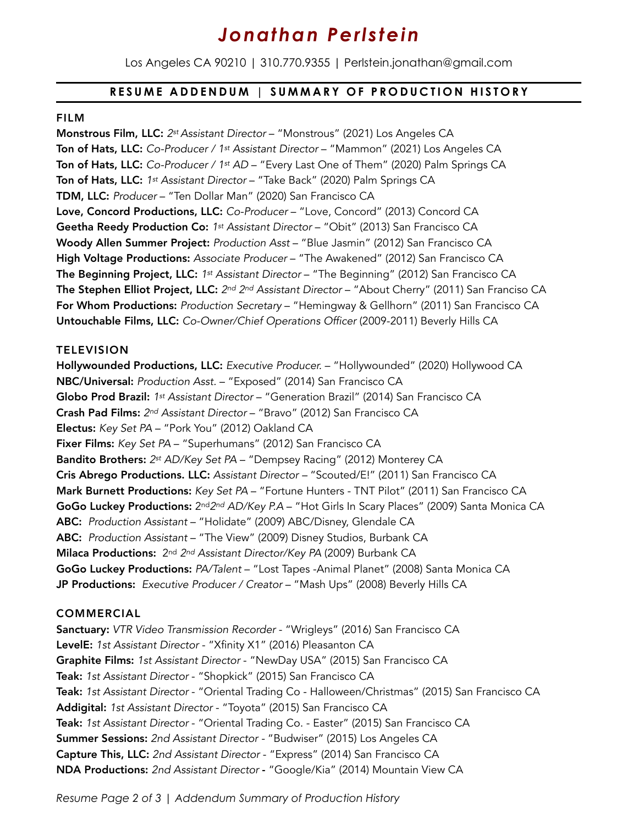# *Jonathan Perlstein*

Los Angeles CA 90210 | 310.770.9355 | Perlstein.jonathan@gmail.com

## **RESUME ADDENDUM | SUMMARY OF PRODUCTION HISTORY**

#### FILM

Monstrous Film, LLC: *2st Assistant Director* – "Monstrous" (2021) Los Angeles CA Ton of Hats, LLC: *Co-Producer / 1st Assistant Director* – "Mammon" (2021) Los Angeles CA Ton of Hats, LLC: *Co-Producer / 1st AD* – "Every Last One of Them" (2020) Palm Springs CA Ton of Hats, LLC: *1st Assistant Director* – "Take Back" (2020) Palm Springs CA TDM, LLC: *Producer* – "Ten Dollar Man" (2020) San Francisco CA Love, Concord Productions, LLC: *Co-Producer* – "Love, Concord" (2013) Concord CA Geetha Reedy Production Co: *1st Assistant Director* – "Obit" (2013) San Francisco CA Woody Allen Summer Project: *Production Asst* – "Blue Jasmin" (2012) San Francisco CA High Voltage Productions: *Associate Producer* – "The Awakened" (2012) San Francisco CA The Beginning Project, LLC: *1st Assistant Director* – "The Beginning" (2012) San Francisco CA The Stephen Elliot Project, LLC: *2nd 2nd Assistant Director* – "About Cherry" (2011) San Franciso CA For Whom Productions: *Production Secretary* – "Hemingway & Gellhorn" (2011) San Francisco CA Untouchable Films, LLC: *Co-Owner/Chief Operations Officer* (2009-2011) Beverly Hills CA

#### **TELEVISION**

Hollywounded Productions, LLC: *Executive Producer.* – "Hollywounded" (2020) Hollywood CA NBC/Universal: *Production Asst.* – "Exposed" (2014) San Francisco CA Globo Prod Brazil: *1st Assistant Director* – "Generation Brazil" (2014) San Francisco CA Crash Pad Films: *2nd Assistant Director* – "Bravo" (2012) San Francisco CA Electus: *Key Set PA* – "Pork You" (2012) Oakland CA Fixer Films: *Key Set PA* – "Superhumans" (2012) San Francisco CA Bandito Brothers: *2st AD/Key Set PA* – "Dempsey Racing" (2012) Monterey CA Cris Abrego Productions. LLC: *Assistant Director –* "Scouted/E!" (2011) San Francisco CA Mark Burnett Productions: *Key Set PA* – "Fortune Hunters - TNT Pilot" (2011) San Francisco CA GoGo Luckey Productions: 2nd*2nd AD/Key P.A* – "Hot Girls In Scary Places" (2009) Santa Monica CA ABC: *Production Assistant* – "Holidate" (2009) ABC/Disney, Glendale CA ABC: *Production Assistant* – "The View" (2009) Disney Studios, Burbank CA Milaca Productions: 2nd *2nd Assistant Director/Key PA* (2009) Burbank CA GoGo Luckey Productions: *PA/Talent* – "Lost Tapes -Animal Planet" (2008) Santa Monica CA JP Productions: *Executive Producer / Creator* – "Mash Ups" (2008) Beverly Hills CA

#### COMMERCIAL

Sanctuary: *VTR Video Transmission Recorder* - "Wrigleys" (2016) San Francisco CA LevelE: *1st Assistant Director* - "Xfinity X1" (2016) Pleasanton CA Graphite Films: *1st Assistant Director* - "NewDay USA" (2015) San Francisco CA Teak: *1st Assistant Director* - "Shopkick" (2015) San Francisco CA Teak: *1st Assistant Director* - "Oriental Trading Co - Halloween/Christmas" (2015) San Francisco CA Addigital: *1st Assistant Director* - "Toyota" (2015) San Francisco CA Teak: *1st Assistant Director* - "Oriental Trading Co. - Easter" (2015) San Francisco CA Summer Sessions: *2nd Assistant Director -* "Budwiser" (2015) Los Angeles CA Capture This, LLC: *2nd Assistant Director* - "Express" (2014) San Francisco CA NDA Productions: *2nd Assistant Director* - "Google/Kia" (2014) Mountain View CA

*Resume Page 2 of 3 | Addendum Summary of Production History*